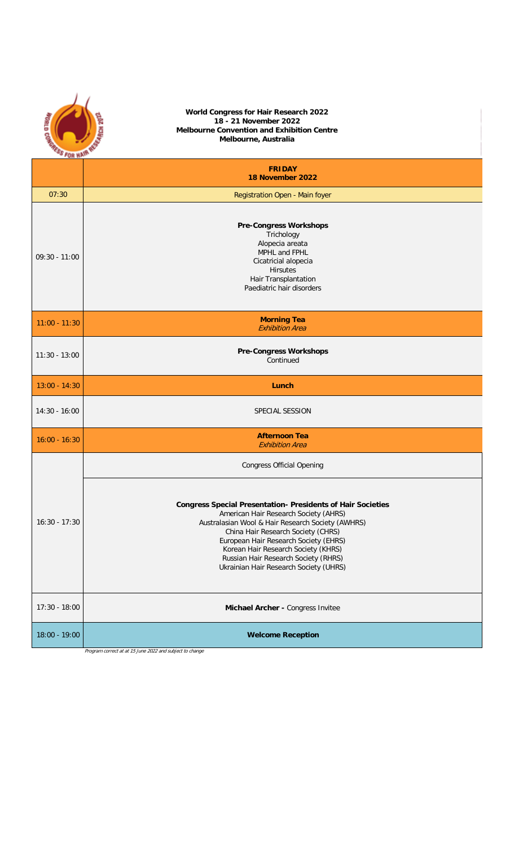|                 | World Congress for Hair Research 2022<br>18 - 21 November 2022<br>Melbourne Convention and Exhibition Centre<br>Melbourne, Australia<br><b>THESE FOR MAIR R</b>                                                                                                                                                                                                          |  |  |  |
|-----------------|--------------------------------------------------------------------------------------------------------------------------------------------------------------------------------------------------------------------------------------------------------------------------------------------------------------------------------------------------------------------------|--|--|--|
|                 | <b>FRIDAY</b><br>18 November 2022                                                                                                                                                                                                                                                                                                                                        |  |  |  |
| 07:30           | Registration Open - Main foyer                                                                                                                                                                                                                                                                                                                                           |  |  |  |
| $09:30 - 11:00$ | <b>Pre-Congress Workshops</b><br>Trichology<br>Alopecia areata<br>MPHL and FPHL<br>Cicatricial alopecia<br><b>Hirsutes</b><br>Hair Transplantation<br>Paediatric hair disorders                                                                                                                                                                                          |  |  |  |
| $11:00 - 11:30$ | <b>Morning Tea</b><br><b>Exhibition Area</b>                                                                                                                                                                                                                                                                                                                             |  |  |  |
| $11:30 - 13:00$ | <b>Pre-Congress Workshops</b><br>Continued                                                                                                                                                                                                                                                                                                                               |  |  |  |
| $13:00 - 14:30$ | Lunch                                                                                                                                                                                                                                                                                                                                                                    |  |  |  |
| $14:30 - 16:00$ | SPECIAL SESSION                                                                                                                                                                                                                                                                                                                                                          |  |  |  |
| $16:00 - 16:30$ | <b>Afternoon Tea</b><br><b>Exhibition Area</b>                                                                                                                                                                                                                                                                                                                           |  |  |  |
|                 | <b>Congress Official Opening</b>                                                                                                                                                                                                                                                                                                                                         |  |  |  |
| $16:30 - 17:30$ | <b>Congress Special Presentation- Presidents of Hair Societies</b><br>American Hair Research Society (AHRS)<br>Australasian Wool & Hair Research Society (AWHRS)<br>China Hair Research Society (CHRS)<br>European Hair Research Society (EHRS)<br>Korean Hair Research Society (KHRS)<br>Russian Hair Research Society (RHRS)<br>Ukrainian Hair Research Society (UHRS) |  |  |  |
| $17:30 - 18:00$ | Michael Archer - Congress Invitee                                                                                                                                                                                                                                                                                                                                        |  |  |  |
| 18:00 - 19:00   | <b>Welcome Reception</b><br>Program correct at at 15 June 2022 and subject to change                                                                                                                                                                                                                                                                                     |  |  |  |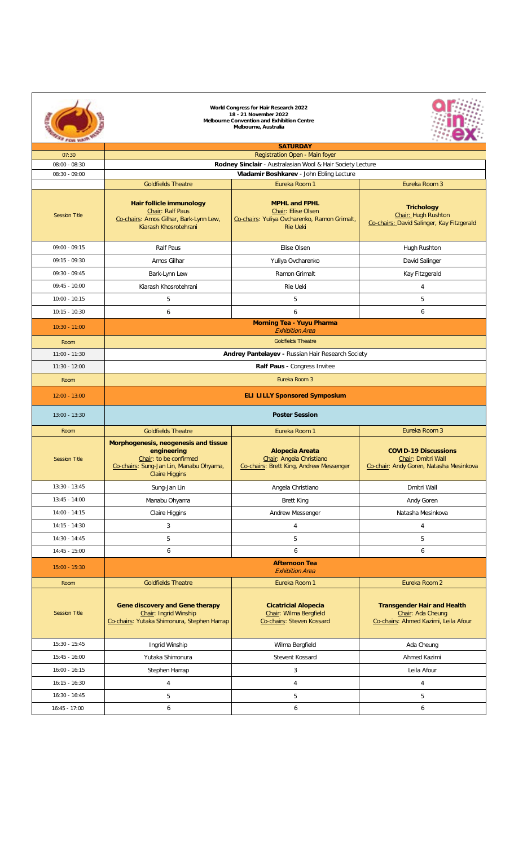|                      | World Congress for Hair Research 2022<br>18 - 21 November 2022<br>Melbourne Convention and Exhibition Centre<br>Melbourne, Australia              |                                                                                                               |                                                                                                 |  |  |  |
|----------------------|---------------------------------------------------------------------------------------------------------------------------------------------------|---------------------------------------------------------------------------------------------------------------|-------------------------------------------------------------------------------------------------|--|--|--|
| 07:30                |                                                                                                                                                   | <b>SATURDAY</b>                                                                                               |                                                                                                 |  |  |  |
| $08:00 - 08:30$      | Registration Open - Main foyer                                                                                                                    |                                                                                                               |                                                                                                 |  |  |  |
| $08:30 - 09:00$      | Rodney Sinclair - Australasian Wool & Hair Society Lecture<br>Vladamir Boshkarev - John Ebling Lecture                                            |                                                                                                               |                                                                                                 |  |  |  |
|                      | <b>Goldfields Theatre</b>                                                                                                                         | Eureka Room 1                                                                                                 | Eureka Room 3                                                                                   |  |  |  |
| <b>Session Title</b> | Hair follicle immunology<br>Chair: Ralf Paus<br>Co-chairs: Amos Gilhar, Bark-Lynn Lew,<br>Kiarash Khosrotehrani                                   | <b>MPHL and FPHL</b><br>Chair: Elise Olsen<br>Co-chairs: Yuliya Ovcharenko, Ramon Grimalt,<br><b>Rie Heki</b> | <b>Trichology</b><br>Chair: Hugh Rushton<br>Co-chairs: David Salinger, Kay Fitzgerald           |  |  |  |
| $09:00 - 09:15$      | Ralf Paus                                                                                                                                         | Elise Olsen                                                                                                   | Hugh Rushton                                                                                    |  |  |  |
| $09:15 - 09:30$      | Amos Gilhar                                                                                                                                       | Yuliya Ovcharenko                                                                                             | David Salinger                                                                                  |  |  |  |
| $09:30 - 09:45$      | Bark-Lynn Lew                                                                                                                                     | Ramon Grimalt                                                                                                 | Kay Fitzgerald                                                                                  |  |  |  |
| $09:45 - 10:00$      | Kiarash Khosrotehrani                                                                                                                             | Rie Ueki                                                                                                      | $\overline{a}$                                                                                  |  |  |  |
| $10:00 - 10:15$      | 5                                                                                                                                                 | 5                                                                                                             | 5                                                                                               |  |  |  |
| $10:15 - 10:30$      | 6                                                                                                                                                 | 6                                                                                                             | $\overline{6}$                                                                                  |  |  |  |
| $10:30 - 11:00$      |                                                                                                                                                   | <b>Morning Tea - Yuyu Pharma</b>                                                                              |                                                                                                 |  |  |  |
| Room                 |                                                                                                                                                   | <b>Exhibition Area</b><br><b>Gobfields Theatre</b>                                                            |                                                                                                 |  |  |  |
| $11:00 - 11:30$      |                                                                                                                                                   | Andrey Pantelayev - Russian Hair Research Society                                                             |                                                                                                 |  |  |  |
| $11:30 - 12:00$      |                                                                                                                                                   | Ralf Paus - Congress Invitee                                                                                  |                                                                                                 |  |  |  |
| Room                 |                                                                                                                                                   | Eureka Room 3                                                                                                 |                                                                                                 |  |  |  |
| $12:00 - 13:00$      |                                                                                                                                                   |                                                                                                               |                                                                                                 |  |  |  |
|                      | <b>ELI LILLY Sponsored Symposium</b>                                                                                                              |                                                                                                               |                                                                                                 |  |  |  |
| $13:00 - 13:30$      |                                                                                                                                                   | <b>Poster Session</b>                                                                                         |                                                                                                 |  |  |  |
| Room                 | <b>Goldfields Theatre</b>                                                                                                                         | Eureka Room 1                                                                                                 | Eureka Room 3                                                                                   |  |  |  |
| <b>Session Title</b> | Morphogenesis, neogenesis and tissue<br>engineering<br>Chair: to be confirmed<br>Co-chairs: Sung-Jan Lin, Manabu Ohyama,<br><b>Claire Higgins</b> | <b>Alopecia Areata</b><br>Chair: Angela Christiano<br>Co-chairs: Brett King, Andrew Messenger                 | <b>COVID-19 Discussions</b><br>Chair: Dmitri Wall<br>Co-chair: Andy Goren, Natasha Mesinkova    |  |  |  |
| $13:30 - 13:45$      | Sung-Jan Lin                                                                                                                                      | Angela Christiano                                                                                             | Dmitri Wall                                                                                     |  |  |  |
| $13:45 - 14:00$      | Manabu Ohyama                                                                                                                                     | <b>Brett King</b>                                                                                             | Andy Goren                                                                                      |  |  |  |
| $14:00 - 14:15$      | Claire Higgins                                                                                                                                    | Andrew Messenger                                                                                              | Natasha Mesinkova                                                                               |  |  |  |
| $14:15 - 14:30$      | 3                                                                                                                                                 | 4                                                                                                             | 4                                                                                               |  |  |  |
| $14 - 30 - 14 - 45$  | 5                                                                                                                                                 | 5                                                                                                             | 5                                                                                               |  |  |  |
| $14:45 - 15:00$      | 6                                                                                                                                                 | 6                                                                                                             | 6                                                                                               |  |  |  |
| $15:00 - 15:30$      | <b>Afternoon Tea</b><br><b>Exhibition Area</b>                                                                                                    |                                                                                                               |                                                                                                 |  |  |  |
| Room                 | <b>Goldfields Theatre</b>                                                                                                                         | Eureka Room 1                                                                                                 | Eureka Room 2                                                                                   |  |  |  |
| <b>Session Title</b> | <b>Gene discovery and Gene therapy</b><br>Chair: Ingrid Winship<br>Co-chairs: Yutaka Shimonura, Stephen Harrap                                    | <b>Cicatricial Alopecia</b><br>Chair: Wilma Bergfield<br>Co-chairs: Steven Kossard                            | <b>Transgender Hair and Health</b><br>Chair: Ada Cheung<br>Co-chairs: Ahmed Kazimi, Leila Afour |  |  |  |
| $15:30 - 15:45$      | Ingrid Winship                                                                                                                                    | Wilma Bergfield                                                                                               | Ada Cheung                                                                                      |  |  |  |
| $15:45 - 16:00$      | Yutaka Shimonura                                                                                                                                  | Stevent Kossard                                                                                               | Ahmed Kazimi                                                                                    |  |  |  |
| $16:00 - 16:15$      | Stephen Harrap                                                                                                                                    | $\overline{\mathbf{3}}$                                                                                       | Leila Afour                                                                                     |  |  |  |
| $16:15 - 16:30$      | $\overline{4}$                                                                                                                                    | $\ddot{4}$                                                                                                    | $\overline{a}$                                                                                  |  |  |  |
| $16:30 - 16:45$      | 5                                                                                                                                                 | 5                                                                                                             | 5                                                                                               |  |  |  |
| $16:45 - 17:00$      | 6                                                                                                                                                 | 6                                                                                                             | 6                                                                                               |  |  |  |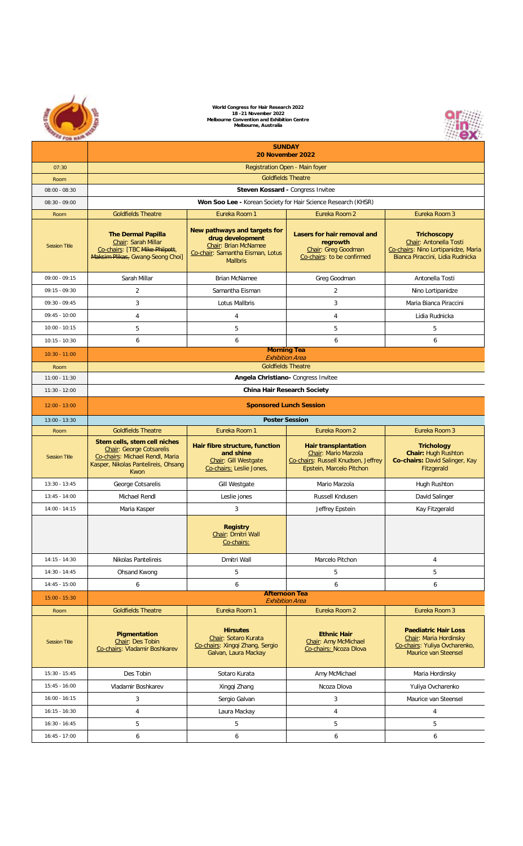|                      | World Congress for Hair Research 2022<br>18 - 21 November 2022<br>Melbourne Convention and Exhibition Centre<br>Melbourne, Australia       |                                                                                                                          |                                                                                                                        |                                                                                                                         |  |  |
|----------------------|--------------------------------------------------------------------------------------------------------------------------------------------|--------------------------------------------------------------------------------------------------------------------------|------------------------------------------------------------------------------------------------------------------------|-------------------------------------------------------------------------------------------------------------------------|--|--|
|                      | <b>SUNDAY</b><br>20 November 2022                                                                                                          |                                                                                                                          |                                                                                                                        |                                                                                                                         |  |  |
| 07:30                |                                                                                                                                            | Registration Open - Main foyer                                                                                           |                                                                                                                        |                                                                                                                         |  |  |
| Room                 |                                                                                                                                            |                                                                                                                          | <b>Goldfields Theatre</b>                                                                                              |                                                                                                                         |  |  |
| $08:00 - 08:30$      |                                                                                                                                            | Steven Kossard - Congress Invitee                                                                                        |                                                                                                                        |                                                                                                                         |  |  |
| $08:30 - 09:00$      |                                                                                                                                            | Won Soo Lee - Korean Society for Hair Science Research (KHSR)                                                            |                                                                                                                        |                                                                                                                         |  |  |
| Room                 | <b>Goldfields Theatre</b>                                                                                                                  | Eureka Room 1                                                                                                            | Eureka Room 2                                                                                                          | Eureka Room 3                                                                                                           |  |  |
| <b>Session Title</b> | <b>The Dermal Papilla</b><br>Chair: Sarah Millar<br>Co-chairs: [TBC Mike Philpott,<br>Maksim Plikas, Gwang-Seong Choi]                     | New pathways and targets for<br>drug development<br>Chair: Brian McNamee<br>Co-chair: Samantha Eisman, Lotus<br>Mallbris | Lasers for hair removal and<br>regrowth<br>Chair: Greg Goodman<br>Co-chairs: to be confirmed                           | <b>Trichoscopy</b><br>Chair: Antonella Tosti<br>Co-chairs: Nino Lortipanidze, Maria<br>Bianca Piraccini, Lidia Rudnicka |  |  |
| 09:00:09:15          | Sarah Millar                                                                                                                               | <b>Brian McNamee</b>                                                                                                     | Greg Goodman                                                                                                           | Antonella Tosti                                                                                                         |  |  |
| $09:15 - 09:30$      | $\mathfrak{p}$                                                                                                                             | Samantha Eisman                                                                                                          | $\overline{a}$                                                                                                         | Nino Lortipanidze                                                                                                       |  |  |
| 09:30 - 09:45        | $\mathsf 3$                                                                                                                                | <b>Lotus Mallbris</b>                                                                                                    | 3                                                                                                                      | Maria Bianca Piraccini                                                                                                  |  |  |
| $09:45 - 10:00$      | $\Delta$                                                                                                                                   | $\Lambda$                                                                                                                | $\Lambda$                                                                                                              | Lidia Rudnicka                                                                                                          |  |  |
| $10:00 - 10:15$      | 5                                                                                                                                          | 5                                                                                                                        | 5                                                                                                                      | 5                                                                                                                       |  |  |
| $10:15 - 10:30$      | 6                                                                                                                                          | 6                                                                                                                        | 6                                                                                                                      | 6                                                                                                                       |  |  |
| $10:30 - 11:00$      |                                                                                                                                            | <b>Morning Tea</b><br><b>Exhibition Area</b>                                                                             |                                                                                                                        |                                                                                                                         |  |  |
| Room                 |                                                                                                                                            |                                                                                                                          | <b>Goldfields Theatre</b>                                                                                              |                                                                                                                         |  |  |
| $11:00 - 11:30$      | Angela Christiano- Congress Invitee                                                                                                        |                                                                                                                          |                                                                                                                        |                                                                                                                         |  |  |
| $11:30 - 12:00$      |                                                                                                                                            |                                                                                                                          | <b>China Hair Research Society</b>                                                                                     |                                                                                                                         |  |  |
| $12:00 - 13:00$      | <b>Sponsored Lunch Session</b>                                                                                                             |                                                                                                                          |                                                                                                                        |                                                                                                                         |  |  |
| $13:00 - 13:30$      |                                                                                                                                            |                                                                                                                          | <b>Poster Session</b>                                                                                                  |                                                                                                                         |  |  |
| Room                 | <b>Goldfields Theatre</b>                                                                                                                  | Eureka Room 1                                                                                                            | Eureka Room 2                                                                                                          | Eureka Room 3                                                                                                           |  |  |
| <b>Session Title</b> | Stem cells, stem cell niches<br>Chair: George Cotsarelis<br>Co-chairs: Michael Rendl, Maria<br>Kasper, Nikolas Pantelireis, Ohsang<br>Kwon | Hair fibre structure, function<br>and shine<br>Chair: Gill Westgate<br>Co-chairs: Leslie Jones,                          | <b>Hair transplantation</b><br>Chair: Mario Marzola<br>Co-chairs: Russell Knudsen, Jeffrey<br>Epstein, Marcelo Pitchon | <b>Trichology</b><br>Chair: Hugh Rushton<br>Co-chairs: David Salinger, Kay<br>Fitzgerald                                |  |  |
| $13:30 - 13:45$      | George Cotsarelis                                                                                                                          | <b>Gill Westgate</b>                                                                                                     | Mario Marzola                                                                                                          | <b>Hugh Rushton</b>                                                                                                     |  |  |
| $13:45 - 14:00$      | Michael Rendl                                                                                                                              | Leslie jones                                                                                                             | Russell Kndusen                                                                                                        | David Salinger                                                                                                          |  |  |
| $14:00 - 14:15$      | Maria Kasper                                                                                                                               | 3                                                                                                                        | Jeffrey Epstein                                                                                                        | Kay Fitzgerald                                                                                                          |  |  |
|                      |                                                                                                                                            | <b>Registry</b><br>Chair: Dmitri Wall<br>Co-chairs:                                                                      |                                                                                                                        |                                                                                                                         |  |  |
| $14:15 - 14:30$      | Nikolas Pantelireis                                                                                                                        | Dmitri Wall                                                                                                              | Marcelo Pitchon                                                                                                        | $\overline{4}$                                                                                                          |  |  |
| $14:30 - 14:45$      | Ohsand Kwong                                                                                                                               | 5                                                                                                                        | 5                                                                                                                      | 5                                                                                                                       |  |  |
| $14:45 - 15:00$      | 6                                                                                                                                          | 6                                                                                                                        | 6                                                                                                                      | 6                                                                                                                       |  |  |
| $15:00 - 15:30$      |                                                                                                                                            | <b>Afternoon Tea</b><br><b>Exhibition Area</b>                                                                           |                                                                                                                        |                                                                                                                         |  |  |
| Room                 | <b>Goldfields Theatre</b>                                                                                                                  | Eureka Room 1                                                                                                            | Eureka Room 2                                                                                                          | Eureka Room 3                                                                                                           |  |  |
| Session Title        | Pigmentation<br>Chair: Des Tobin<br>Co-chairs: Vladamir Boshkarev                                                                          | <b>Hirsutes</b><br>Chair: Sotaro Kurata<br>Co-chairs: Xingqi Zhang, Sergio<br>Galvan, Laura Mackay                       | <b>Ethnic Hair</b><br>Chair: Amy McMichael<br>Co-chairs: Ncoza Dlova                                                   | <b>Paediatric Hair Loss</b><br>Chair: Maria Hordinsky<br>Co-chairs: Yuliya Ovcharenko,<br>Maurice van Steensel          |  |  |
| $15:30 - 15:45$      | Des Tobin                                                                                                                                  | Sotaro Kurata                                                                                                            | Amy McMichael                                                                                                          | Maria Hordinsky                                                                                                         |  |  |
| $15:45 - 16:00$      | <b>Vladamir Boshkarev</b>                                                                                                                  | Xingqi Zhang                                                                                                             | Ncoza Dlova                                                                                                            | Yuliva Ovcharenko                                                                                                       |  |  |
| $16:00 - 16:15$      | $\overline{\mathbf{3}}$                                                                                                                    | Sergio Galvan                                                                                                            | $\overline{\mathbf{3}}$                                                                                                | Maurice van Steensel                                                                                                    |  |  |
| $16:15 - 16:30$      | $\ddot{4}$                                                                                                                                 | Laura Mackay                                                                                                             | $\ddot{4}$                                                                                                             | $\overline{4}$                                                                                                          |  |  |
| $16:30 - 16:45$      | 5                                                                                                                                          | 5                                                                                                                        | 5                                                                                                                      | 5                                                                                                                       |  |  |
| $16:45 - 17:00$      | $\overline{b}$                                                                                                                             | $\overline{b}$                                                                                                           | 6                                                                                                                      | 6                                                                                                                       |  |  |